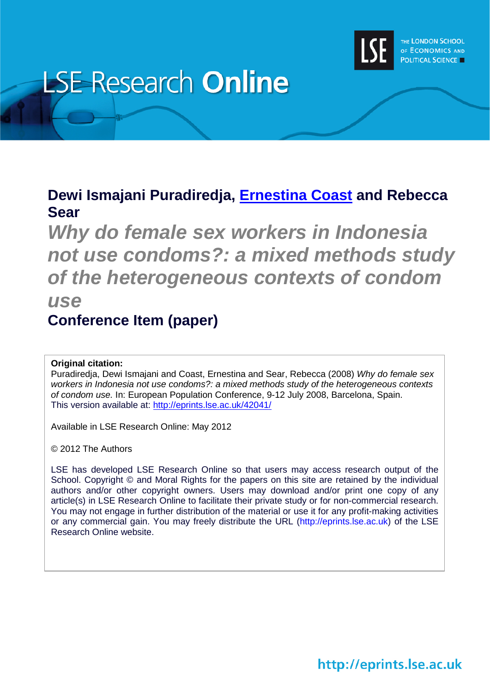

# **LSE Research Online**

# **Dewi Ismajani Puradiredja, [Ernestina Coast](http://www2.lse.ac.uk/researchAndExpertise/Experts/profile.aspx?KeyValue=e.coast@lse.ac.uk) and Rebecca Sear**

*Why do female sex workers in Indonesia not use condoms?: a mixed methods study of the heterogeneous contexts of condom use* **Conference Item (paper)**

# **Original citation:**

Puradiredja, Dewi Ismajani and Coast, Ernestina and Sear, Rebecca (2008) *Why do female sex workers in Indonesia not use condoms?: a mixed methods study of the heterogeneous contexts of condom use.* In: European Population Conference, 9-12 July 2008, Barcelona, Spain. This version available at:<http://eprints.lse.ac.uk/42041/>

Available in LSE Research Online: May 2012

© 2012 The Authors

LSE has developed LSE Research Online so that users may access research output of the School. Copyright © and Moral Rights for the papers on this site are retained by the individual authors and/or other copyright owners. Users may download and/or print one copy of any article(s) in LSE Research Online to facilitate their private study or for non-commercial research. You may not engage in further distribution of the material or use it for any profit-making activities or any commercial gain. You may freely distribute the URL (http://eprints.lse.ac.uk) of the LSE Research Online website.

http://eprints.lse.ac.uk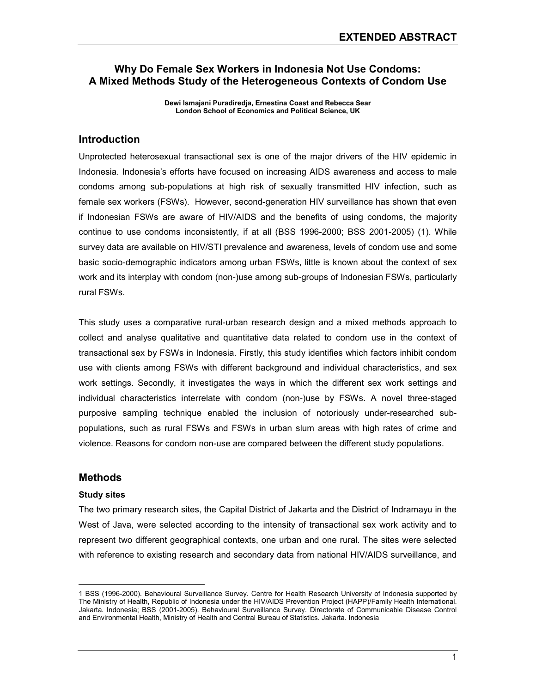# Why Do Female Sex Workers in Indonesia Not Use Condoms: A Mixed Methods Study of the Heterogeneous Contexts of Condom Use

Dewi Ismajani Puradiredja, Ernestina Coast and Rebecca Sear London School of Economics and Political Science, UK

# Introduction

Unprotected heterosexual transactional sex is one of the major drivers of the HIV epidemic in Indonesia. Indonesia's efforts have focused on increasing AIDS awareness and access to male condoms among sub-populations at high risk of sexually transmitted HIV infection, such as female sex workers (FSWs). However, second-generation HIV surveillance has shown that even if Indonesian FSWs are aware of HIV/AIDS and the benefits of using condoms, the majority continue to use condoms inconsistently, if at all (BSS 1996-2000; BSS 2001-2005) (1). While survey data are available on HIV/STI prevalence and awareness, levels of condom use and some basic socio-demographic indicators among urban FSWs, little is known about the context of sex work and its interplay with condom (non-)use among sub-groups of Indonesian FSWs, particularly rural FSWs.

This study uses a comparative rural-urban research design and a mixed methods approach to collect and analyse qualitative and quantitative data related to condom use in the context of transactional sex by FSWs in Indonesia. Firstly, this study identifies which factors inhibit condom use with clients among FSWs with different background and individual characteristics, and sex work settings. Secondly, it investigates the ways in which the different sex work settings and individual characteristics interrelate with condom (non-)use by FSWs. A novel three-staged purposive sampling technique enabled the inclusion of notoriously under-researched subpopulations, such as rural FSWs and FSWs in urban slum areas with high rates of crime and violence. Reasons for condom non-use are compared between the different study populations.

### **Methods**

#### Study sites

 $\overline{a}$ 

The two primary research sites, the Capital District of Jakarta and the District of Indramayu in the West of Java, were selected according to the intensity of transactional sex work activity and to represent two different geographical contexts, one urban and one rural. The sites were selected with reference to existing research and secondary data from national HIV/AIDS surveillance, and

<sup>1</sup> BSS (1996-2000). Behavioural Surveillance Survey. Centre for Health Research University of Indonesia supported by The Ministry of Health, Republic of Indonesia under the HIV/AIDS Prevention Project (HAPP)/Family Health International. Jakarta. Indonesia; BSS (2001-2005). Behavioural Surveillance Survey. Directorate of Communicable Disease Control and Environmental Health, Ministry of Health and Central Bureau of Statistics. Jakarta. Indonesia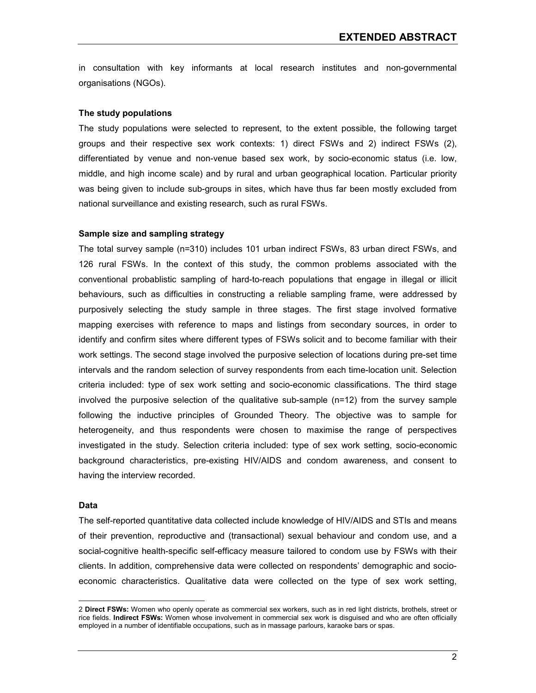in consultation with key informants at local research institutes and non-governmental organisations (NGOs).

#### The study populations

The study populations were selected to represent, to the extent possible, the following target groups and their respective sex work contexts: 1) direct FSWs and 2) indirect FSWs (2), differentiated by venue and non-venue based sex work, by socio-economic status (i.e. low, middle, and high income scale) and by rural and urban geographical location. Particular priority was being given to include sub-groups in sites, which have thus far been mostly excluded from national surveillance and existing research, such as rural FSWs.

#### Sample size and sampling strategy

The total survey sample (n=310) includes 101 urban indirect FSWs, 83 urban direct FSWs, and 126 rural FSWs. In the context of this study, the common problems associated with the conventional probablistic sampling of hard-to-reach populations that engage in illegal or illicit behaviours, such as difficulties in constructing a reliable sampling frame, were addressed by purposively selecting the study sample in three stages. The first stage involved formative mapping exercises with reference to maps and listings from secondary sources, in order to identify and confirm sites where different types of FSWs solicit and to become familiar with their work settings. The second stage involved the purposive selection of locations during pre-set time intervals and the random selection of survey respondents from each time-location unit. Selection criteria included: type of sex work setting and socio-economic classifications. The third stage involved the purposive selection of the qualitative sub-sample (n=12) from the survey sample following the inductive principles of Grounded Theory. The objective was to sample for heterogeneity, and thus respondents were chosen to maximise the range of perspectives investigated in the study. Selection criteria included: type of sex work setting, socio-economic background characteristics, pre-existing HIV/AIDS and condom awareness, and consent to having the interview recorded.

#### Data

 $\overline{a}$ 

The self-reported quantitative data collected include knowledge of HIV/AIDS and STIs and means of their prevention, reproductive and (transactional) sexual behaviour and condom use, and a social-cognitive health-specific self-efficacy measure tailored to condom use by FSWs with their clients. In addition, comprehensive data were collected on respondents' demographic and socioeconomic characteristics. Qualitative data were collected on the type of sex work setting,

<sup>2</sup> Direct FSWs: Women who openly operate as commercial sex workers, such as in red light districts, brothels, street or rice fields. Indirect FSWs: Women whose involvement in commercial sex work is disguised and who are often officially employed in a number of identifiable occupations, such as in massage parlours, karaoke bars or spas.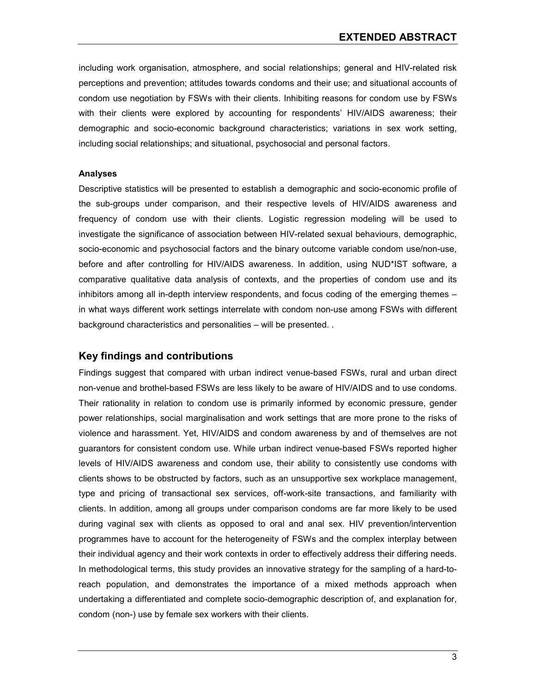including work organisation, atmosphere, and social relationships; general and HIV-related risk perceptions and prevention; attitudes towards condoms and their use; and situational accounts of condom use negotiation by FSWs with their clients. Inhibiting reasons for condom use by FSWs with their clients were explored by accounting for respondents' HIV/AIDS awareness; their demographic and socio-economic background characteristics; variations in sex work setting, including social relationships; and situational, psychosocial and personal factors.

#### Analyses

Descriptive statistics will be presented to establish a demographic and socio-economic profile of the sub-groups under comparison, and their respective levels of HIV/AIDS awareness and frequency of condom use with their clients. Logistic regression modeling will be used to investigate the significance of association between HIV-related sexual behaviours, demographic, socio-economic and psychosocial factors and the binary outcome variable condom use/non-use, before and after controlling for HIV/AIDS awareness. In addition, using NUD\*IST software, a comparative qualitative data analysis of contexts, and the properties of condom use and its inhibitors among all in-depth interview respondents, and focus coding of the emerging themes – in what ways different work settings interrelate with condom non-use among FSWs with different background characteristics and personalities – will be presented. .

# Key findings and contributions

Findings suggest that compared with urban indirect venue-based FSWs, rural and urban direct non-venue and brothel-based FSWs are less likely to be aware of HIV/AIDS and to use condoms. Their rationality in relation to condom use is primarily informed by economic pressure, gender power relationships, social marginalisation and work settings that are more prone to the risks of violence and harassment. Yet, HIV/AIDS and condom awareness by and of themselves are not guarantors for consistent condom use. While urban indirect venue-based FSWs reported higher levels of HIV/AIDS awareness and condom use, their ability to consistently use condoms with clients shows to be obstructed by factors, such as an unsupportive sex workplace management, type and pricing of transactional sex services, off-work-site transactions, and familiarity with clients. In addition, among all groups under comparison condoms are far more likely to be used during vaginal sex with clients as opposed to oral and anal sex. HIV prevention/intervention programmes have to account for the heterogeneity of FSWs and the complex interplay between their individual agency and their work contexts in order to effectively address their differing needs. In methodological terms, this study provides an innovative strategy for the sampling of a hard-toreach population, and demonstrates the importance of a mixed methods approach when undertaking a differentiated and complete socio-demographic description of, and explanation for, condom (non-) use by female sex workers with their clients.